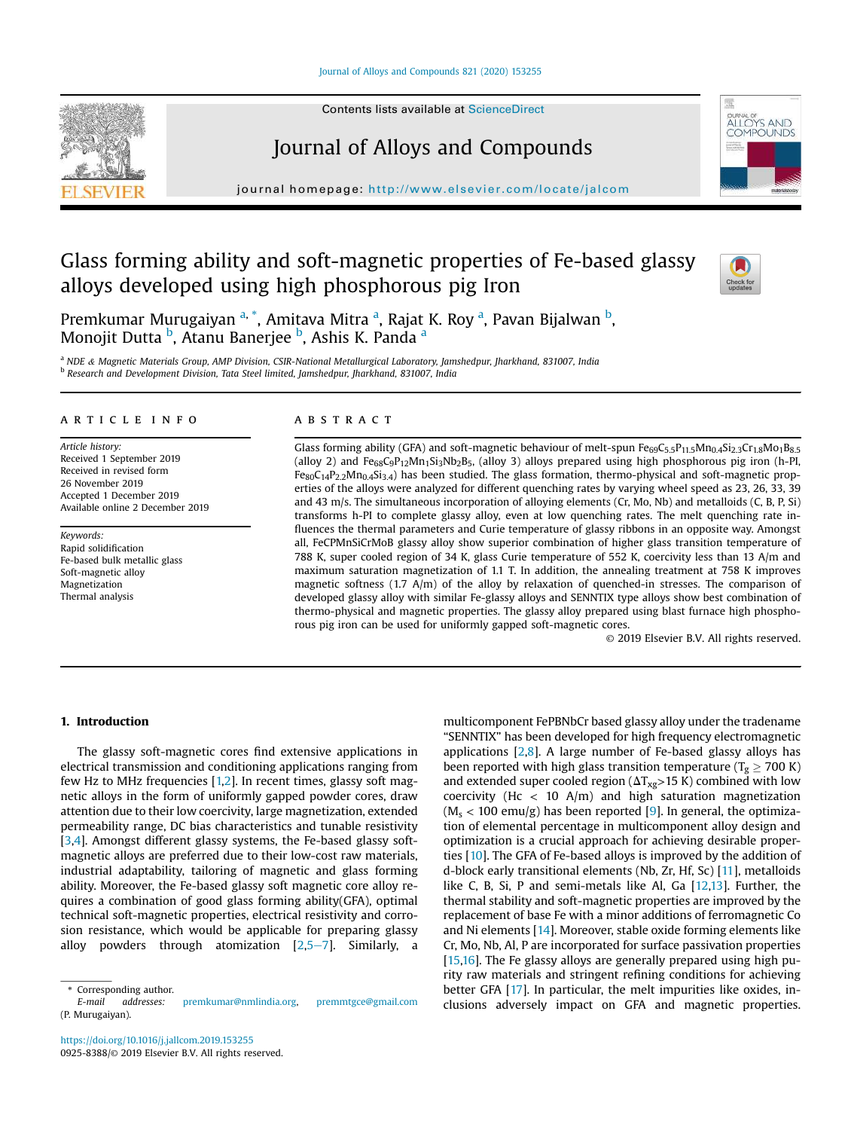## Journal of Alloys and Compounds 821 (2020) 153255



## Journal of Alloys and Compounds

journal homepage: http://www.elsevier.com/locate/jalcom

# Glass forming ability and soft-magnetic properties of Fe-based glassy alloys developed using high phosphorous pig Iron



**ALLOYS AND** 

Premkumar Murugaiyan <sup>a, \*</sup>, Amitava Mitra <sup>a</sup>, Rajat K. Roy <sup>a</sup>, Pavan Bijalwan <sup>b</sup>, Monojit Dutta <sup>b</sup>, Atanu Banerjee <sup>b</sup>, Ashis K. Panda <sup>a</sup>

<sup>a</sup> *NDE* & *Magnetic Materials Group, AMP Division, CSIR-National Metallurgical Laboratory, Jamshedpur, Jharkhand, 831007, India* b *Research and Development Division, Tata Steel limited, Jamshedpur, Jharkhand, 831007, India*

### article info

*Article history:* Received 1 September 2019 Received in revised form 26 November 2019 Accepted 1 December 2019 Available online 2 December 2019

*Keywords:* Rapid solidification Fe-based bulk metallic glass Soft-magnetic alloy Magnetization Thermal analysis

## **ABSTRACT**

Glass forming ability (GFA) and soft-magnetic behaviour of melt-spun  $Fe_{69}C_{5.5}P_{11.5}Mn_{0.4}Si_{2.3}Cr_{1.8}Mo_{1}Bs_{5.5}$ (alloy 2) and  $Fe_{68}C_9P_{12}Mn_1Si_3Nb_2B_5$ , (alloy 3) alloys prepared using high phosphorous pig iron (h-PI,  $F_{80}C_{14}P_{2,2}Mn_{0,4}Si_{3,4}$ ) has been studied. The glass formation, thermo-physical and soft-magnetic properties of the alloys were analyzed for different quenching rates by varying wheel speed as 23, 26, 33, 39 and 43 m/s. The simultaneous incorporation of alloying elements (Cr, Mo, Nb) and metalloids (C, B, P, Si) transforms h-PI to complete glassy alloy, even at low quenching rates. The melt quenching rate influences the thermal parameters and Curie temperature of glassy ribbons in an opposite way. Amongst all, FeCPMnSiCrMoB glassy alloy show superior combination of higher glass transition temperature of 788 K, super cooled region of 34 K, glass Curie temperature of 552 K, coercivity less than 13 A/m and maximum saturation magnetization of 1.1 T. In addition, the annealing treatment at 758 K improves magnetic softness (1.7 A/m) of the alloy by relaxation of quenched-in stresses. The comparison of developed glassy alloy with similar Fe-glassy alloys and SENNTIX type alloys show best combination of thermo-physical and magnetic properties. The glassy alloy prepared using blast furnace high phosphorous pig iron can be used for uniformly gapped soft-magnetic cores.

© 2019 Elsevier B.V. All rights reserved.

### 1. Introduction

The glassy soft-magnetic cores find extensive applications in electrical transmission and conditioning applications ranging from few Hz to MHz frequencies [1,2]. In recent times, glassy soft magnetic alloys in the form of uniformly gapped powder cores, draw attention due to their low coercivity, large magnetization, extended permeability range, DC bias characteristics and tunable resistivity [3,4]. Amongst different glassy systems, the Fe-based glassy softmagnetic alloys are preferred due to their low-cost raw materials, industrial adaptability, tailoring of magnetic and glass forming ability. Moreover, the Fe-based glassy soft magnetic core alloy requires a combination of good glass forming ability(GFA), optimal technical soft-magnetic properties, electrical resistivity and corrosion resistance, which would be applicable for preparing glassy alloy powders through atomization  $[2,5-7]$ . Similarly, a multicomponent FePBNbCr based glassy alloy under the tradename "SENNTIX" has been developed for high frequency electromagnetic applications  $[2,8]$ . A large number of Fe-based glassy alloys has been reported with high glass transition temperature ( $T_g \ge 700$  K) and extended super cooled region ( $\Delta T_{\text{Xg}}$ >15 K) combined with low coercivity (Hc  $<$  10 A/m) and high saturation magnetization  $(M_s < 100$  emu/g) has been reported [9]. In general, the optimization of elemental percentage in multicomponent alloy design and optimization is a crucial approach for achieving desirable properties [10]. The GFA of Fe-based alloys is improved by the addition of d-block early transitional elements (Nb, Zr, Hf, Sc) [11], metalloids like C, B, Si, P and semi-metals like Al, Ga [12,13]. Further, the thermal stability and soft-magnetic properties are improved by the replacement of base Fe with a minor additions of ferromagnetic Co and Ni elements [14]. Moreover, stable oxide forming elements like Cr, Mo, Nb, Al, P are incorporated for surface passivation properties [15,16]. The Fe glassy alloys are generally prepared using high purity raw materials and stringent refining conditions for achieving better GFA [17]. In particular, the melt impurities like oxides, inclusions adversely impact on GFA and magnetic properties.



<sup>\*</sup> Corresponding author.

*E-mail addresses:* premkumar@nmlindia.org, premmtgce@gmail.com (P. Murugaiyan).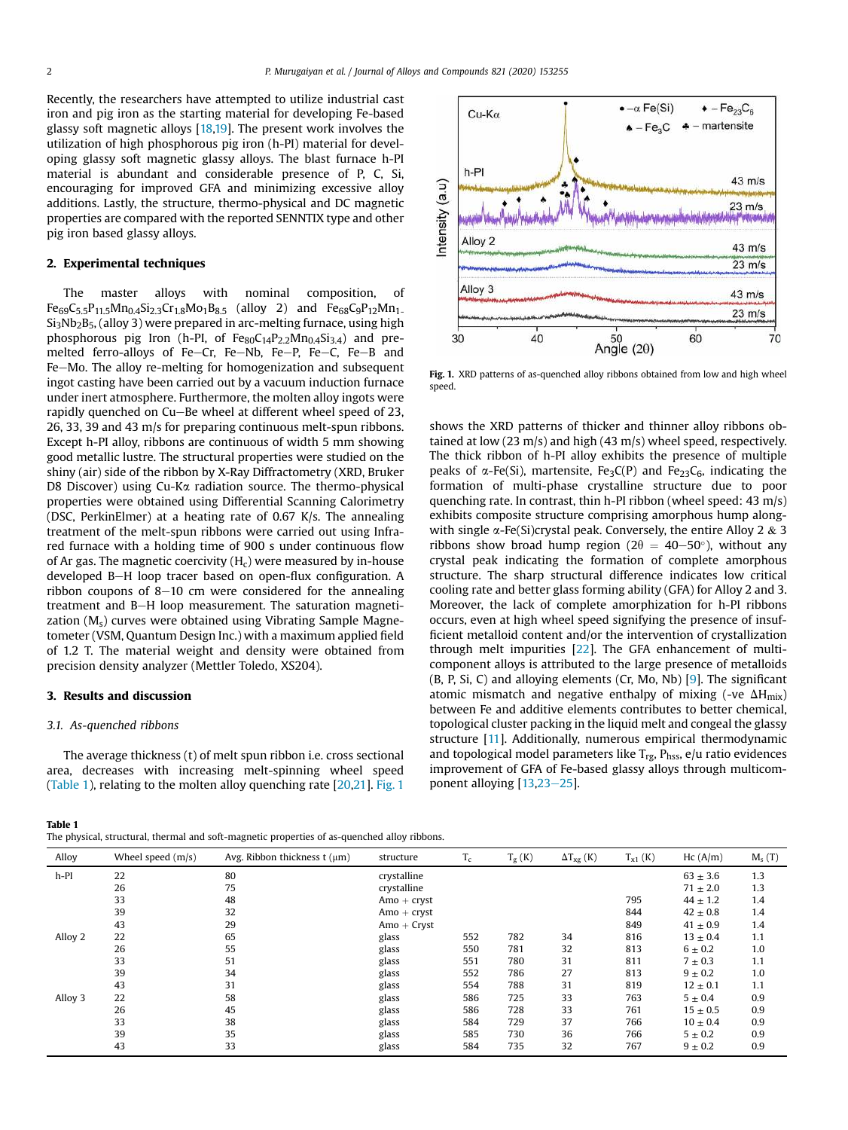Recently, the researchers have attempted to utilize industrial cast iron and pig iron as the starting material for developing Fe-based glassy soft magnetic alloys [18,19]. The present work involves the utilization of high phosphorous pig iron (h-PI) material for developing glassy soft magnetic glassy alloys. The blast furnace h-PI material is abundant and considerable presence of P, C, Si, encouraging for improved GFA and minimizing excessive alloy additions. Lastly, the structure, thermo-physical and DC magnetic properties are compared with the reported SENNTIX type and other pig iron based glassy alloys.

## 2. Experimental techniques

The master alloys with nominal composition, of  $Fe_{69}C_5.5P_{11.5}Mn_0.4Si_2.3Cr_{1.8}Mo_1B_8.5$  (alloy 2) and  $Fe_{68}C_9P_{1.2}Mn_1$  $Si<sub>3</sub>Nb<sub>2</sub>B<sub>5</sub>$ , (alloy 3) were prepared in arc-melting furnace, using high phosphorous pig Iron (h-PI, of  $Fe_{80}C_{14}P_{2.2}Mn_{0.4}Si_{3.4}$ ) and premelted ferro-alloys of Fe-Cr, Fe-Nb, Fe-P, Fe-C, Fe-B and Fe-Mo. The alloy re-melting for homogenization and subsequent ingot casting have been carried out by a vacuum induction furnace under inert atmosphere. Furthermore, the molten alloy ingots were rapidly quenched on Cu-Be wheel at different wheel speed of 23, 26, 33, 39 and 43 m/s for preparing continuous melt-spun ribbons. Except h-PI alloy, ribbons are continuous of width 5 mm showing good metallic lustre. The structural properties were studied on the shiny (air) side of the ribbon by X-Ray Diffractometry (XRD, Bruker D8 Discover) using Cu-Ka radiation source. The thermo-physical properties were obtained using Differential Scanning Calorimetry (DSC, PerkinElmer) at a heating rate of 0.67 K/s. The annealing treatment of the melt-spun ribbons were carried out using Infrared furnace with a holding time of 900 s under continuous flow of Ar gas. The magnetic coercivity  $(H_c)$  were measured by in-house developed B-H loop tracer based on open-flux configuration. A ribbon coupons of  $8-10$  cm were considered for the annealing treatment and B-H loop measurement. The saturation magnetization  $(M_s)$  curves were obtained using Vibrating Sample Magnetometer (VSM, Quantum Design Inc.) with a maximum applied field of 1.2 T. The material weight and density were obtained from precision density analyzer (Mettler Toledo, XS204).

## 3. Results and discussion

#### *3.1. As-quenched ribbons*

The average thickness (t) of melt spun ribbon i.e. cross sectional area, decreases with increasing melt-spinning wheel speed (Table 1), relating to the molten alloy quenching rate [20,21]. Fig. 1

Table 1

The physical, structural, thermal and soft-magnetic properties of as-quenched alloy ribbons.



Fig. 1. XRD patterns of as-quenched alloy ribbons obtained from low and high wheel speed.

shows the XRD patterns of thicker and thinner alloy ribbons obtained at low (23 m/s) and high (43 m/s) wheel speed, respectively. The thick ribbon of h-PI alloy exhibits the presence of multiple peaks of  $\alpha$ -Fe(Si), martensite, Fe<sub>3</sub>C(P) and Fe<sub>23</sub>C<sub>6</sub>, indicating the formation of multi-phase crystalline structure due to poor quenching rate. In contrast, thin h-PI ribbon (wheel speed: 43 m/s) exhibits composite structure comprising amorphous hump alongwith single  $\alpha$ -Fe(Si)crystal peak. Conversely, the entire Alloy 2 & 3 ribbons show broad hump region ( $2\theta = 40-50^{\circ}$ ), without any crystal peak indicating the formation of complete amorphous structure. The sharp structural difference indicates low critical cooling rate and better glass forming ability (GFA) for Alloy 2 and 3. Moreover, the lack of complete amorphization for h-PI ribbons occurs, even at high wheel speed signifying the presence of insufficient metalloid content and/or the intervention of crystallization through melt impurities [22]. The GFA enhancement of multicomponent alloys is attributed to the large presence of metalloids (B, P, Si, C) and alloying elements (Cr, Mo, Nb) [9]. The significant atomic mismatch and negative enthalpy of mixing (-ve  $\Delta H_{mix}$ ) between Fe and additive elements contributes to better chemical, topological cluster packing in the liquid melt and congeal the glassy structure [11]. Additionally, numerous empirical thermodynamic and topological model parameters like  $T_{rg}$ ,  $P_{hss}$ ,  $e/u$  ratio evidences improvement of GFA of Fe-based glassy alloys through multicomponent alloying  $[13,23-25]$ .

| Alloy   | Wheel speed $(m/s)$ | Avg. Ribbon thickness $t(\mu m)$ | structure     | $T_c$ | $T_g(K)$ | $\Delta T_{\text{Xg}}$ (K) | $T_{x1}$ (K) | Hc(A/m)      | $M_s(T)$ |
|---------|---------------------|----------------------------------|---------------|-------|----------|----------------------------|--------------|--------------|----------|
| $h-PI$  | 22                  | 80                               | crystalline   |       |          |                            |              | $63 \pm 3.6$ | 1.3      |
|         | 26                  | 75                               | crystalline   |       |          |                            |              | $71 \pm 2.0$ | 1.3      |
|         | 33                  | 48                               | $Amo + crvst$ |       |          |                            | 795          | $44 \pm 1.2$ | 1.4      |
|         | 39                  | 32                               | $Amo + crvst$ |       |          |                            | 844          | $42 \pm 0.8$ | 1.4      |
|         | 43                  | 29                               | $Amo + Cryst$ |       |          |                            | 849          | $41 \pm 0.9$ | 1.4      |
| Alloy 2 | 22                  | 65                               | glass         | 552   | 782      | 34                         | 816          | $13 \pm 0.4$ | 1.1      |
|         | 26                  | 55                               | glass         | 550   | 781      | 32                         | 813          | $6 \pm 0.2$  | 1.0      |
|         | 33                  | 51                               | glass         | 551   | 780      | 31                         | 811          | $7 \pm 0.3$  | 1.1      |
|         | 39                  | 34                               | glass         | 552   | 786      | 27                         | 813          | $9 \pm 0.2$  | 1.0      |
|         | 43                  | 31                               | glass         | 554   | 788      | 31                         | 819          | $12 \pm 0.1$ | 1.1      |
| Alloy 3 | 22                  | 58                               | glass         | 586   | 725      | 33                         | 763          | $5 \pm 0.4$  | 0.9      |
|         | 26                  | 45                               | glass         | 586   | 728      | 33                         | 761          | $15 \pm 0.5$ | 0.9      |
|         | 33                  | 38                               | glass         | 584   | 729      | 37                         | 766          | $10 \pm 0.4$ | 0.9      |
|         | 39                  | 35                               | glass         | 585   | 730      | 36                         | 766          | $5 \pm 0.2$  | 0.9      |
|         | 43                  | 33                               | glass         | 584   | 735      | 32                         | 767          | $9 \pm 0.2$  | 0.9      |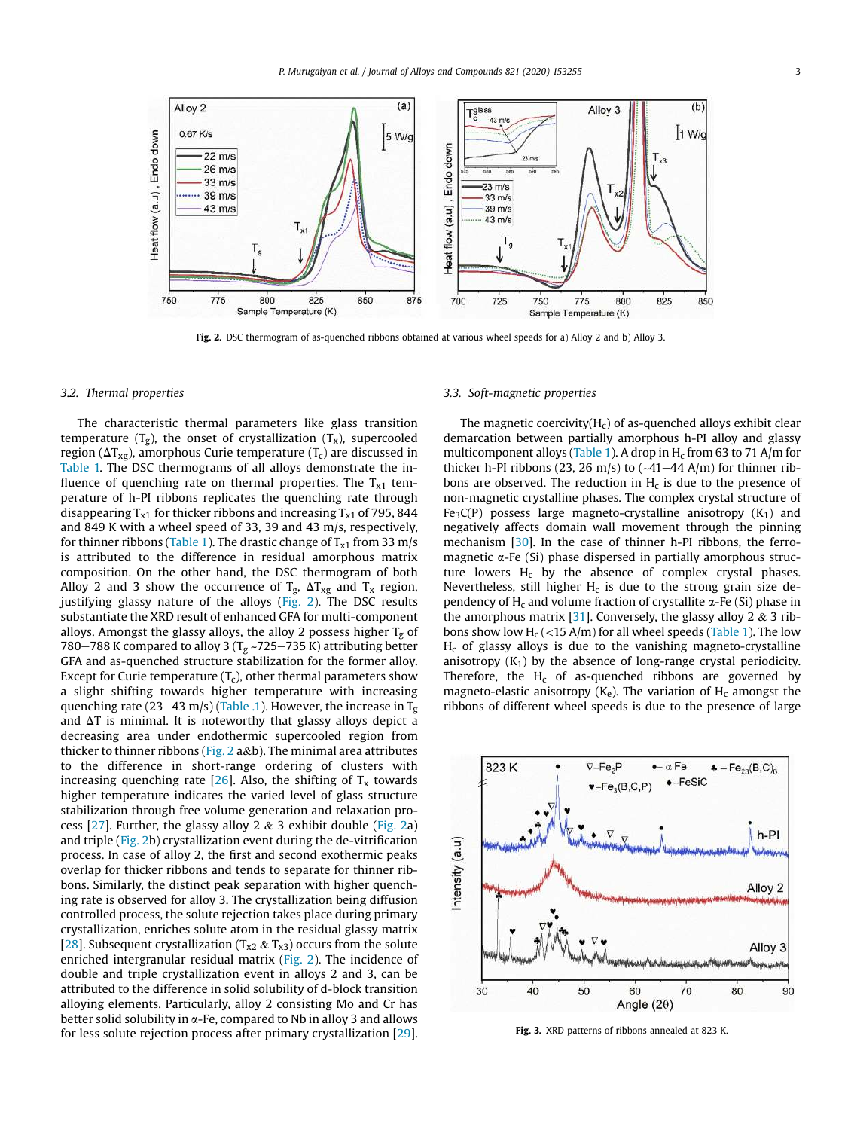

Fig. 2. DSC thermogram of as-quenched ribbons obtained at various wheel speeds for a) Alloy 2 and b) Alloy 3.

### *3.2. Thermal properties*

The characteristic thermal parameters like glass transition temperature  $(T_g)$ , the onset of crystallization  $(T_x)$ , supercooled region ( $\Delta T_{\text{xg}}$ ), amorphous Curie temperature (T<sub>c</sub>) are discussed in Table 1. The DSC thermograms of all alloys demonstrate the influence of quenching rate on thermal properties. The  $T<sub>x1</sub>$  temperature of h-PI ribbons replicates the quenching rate through disappearing  $T_{x1}$ , for thicker ribbons and increasing  $T_{x1}$  of 795, 844 and 849 K with a wheel speed of 33, 39 and 43 m/s, respectively, for thinner ribbons (Table 1). The drastic change of  $T_{x1}$  from 33 m/s is attributed to the difference in residual amorphous matrix composition. On the other hand, the DSC thermogram of both Alloy 2 and 3 show the occurrence of  $T_g$ ,  $\Delta T_{xg}$  and  $T_x$  region, justifying glassy nature of the alloys (Fig. 2). The DSC results substantiate the XRD result of enhanced GFA for multi-component alloys. Amongst the glassy alloys, the alloy 2 possess higher  $T_g$  of 780–788 K compared to alloy 3 ( $T_g$  ~725–735 K) attributing better GFA and as-quenched structure stabilization for the former alloy. Except for Curie temperature  $(T_c)$ , other thermal parameters show a slight shifting towards higher temperature with increasing quenching rate (23–43 m/s) (Table .1). However, the increase in  $T_g$ and  $\Delta T$  is minimal. It is noteworthy that glassy alloys depict a decreasing area under endothermic supercooled region from thicker to thinner ribbons (Fig. 2 a&b). The minimal area attributes to the difference in short-range ordering of clusters with increasing quenching rate [26]. Also, the shifting of  $T_x$  towards higher temperature indicates the varied level of glass structure stabilization through free volume generation and relaxation process  $[27]$ . Further, the glassy alloy 2 & 3 exhibit double (Fig. 2a) and triple (Fig. 2b) crystallization event during the de-vitrification process. In case of alloy 2, the first and second exothermic peaks overlap for thicker ribbons and tends to separate for thinner ribbons. Similarly, the distinct peak separation with higher quenching rate is observed for alloy 3. The crystallization being diffusion controlled process, the solute rejection takes place during primary crystallization, enriches solute atom in the residual glassy matrix [28]. Subsequent crystallization ( $T_{x2}$  &  $T_{x3}$ ) occurs from the solute enriched intergranular residual matrix (Fig. 2). The incidence of double and triple crystallization event in alloys 2 and 3, can be attributed to the difference in solid solubility of d-block transition alloying elements. Particularly, alloy 2 consisting Mo and Cr has better solid solubility in  $\alpha$ -Fe, compared to Nb in alloy 3 and allows for less solute rejection process after primary crystallization [29].

## *3.3. Soft-magnetic properties*

The magnetic coercivity $(H_c)$  of as-quenched alloys exhibit clear demarcation between partially amorphous h-PI alloy and glassy multicomponent alloys (Table 1). A drop in  $H_c$  from 63 to 71 A/m for thicker h-PI ribbons (23, 26 m/s) to  $(-41-44 \text{ A/m})$  for thinner ribbons are observed. The reduction in  $H_c$  is due to the presence of non-magnetic crystalline phases. The complex crystal structure of Fe<sub>3</sub>C(P) possess large magneto-crystalline anisotropy  $(K_1)$  and negatively affects domain wall movement through the pinning mechanism [30]. In the case of thinner h-PI ribbons, the ferromagnetic  $\alpha$ -Fe (Si) phase dispersed in partially amorphous structure lowers  $H_c$  by the absence of complex crystal phases. Nevertheless, still higher  $H_c$  is due to the strong grain size dependency of  $H_c$  and volume fraction of crystallite  $\alpha$ -Fe (Si) phase in the amorphous matrix [31]. Conversely, the glassy alloy 2  $\&$  3 ribbons show low  $H_c$  (<15 A/m) for all wheel speeds (Table 1). The low  $H_c$  of glassy alloys is due to the vanishing magneto-crystalline anisotropy  $(K_1)$  by the absence of long-range crystal periodicity. Therefore, the  $H_c$  of as-quenched ribbons are governed by magneto-elastic anisotropy  $(K_e)$ . The variation of  $H_c$  amongst the ribbons of different wheel speeds is due to the presence of large



Fig. 3. XRD patterns of ribbons annealed at 823 K.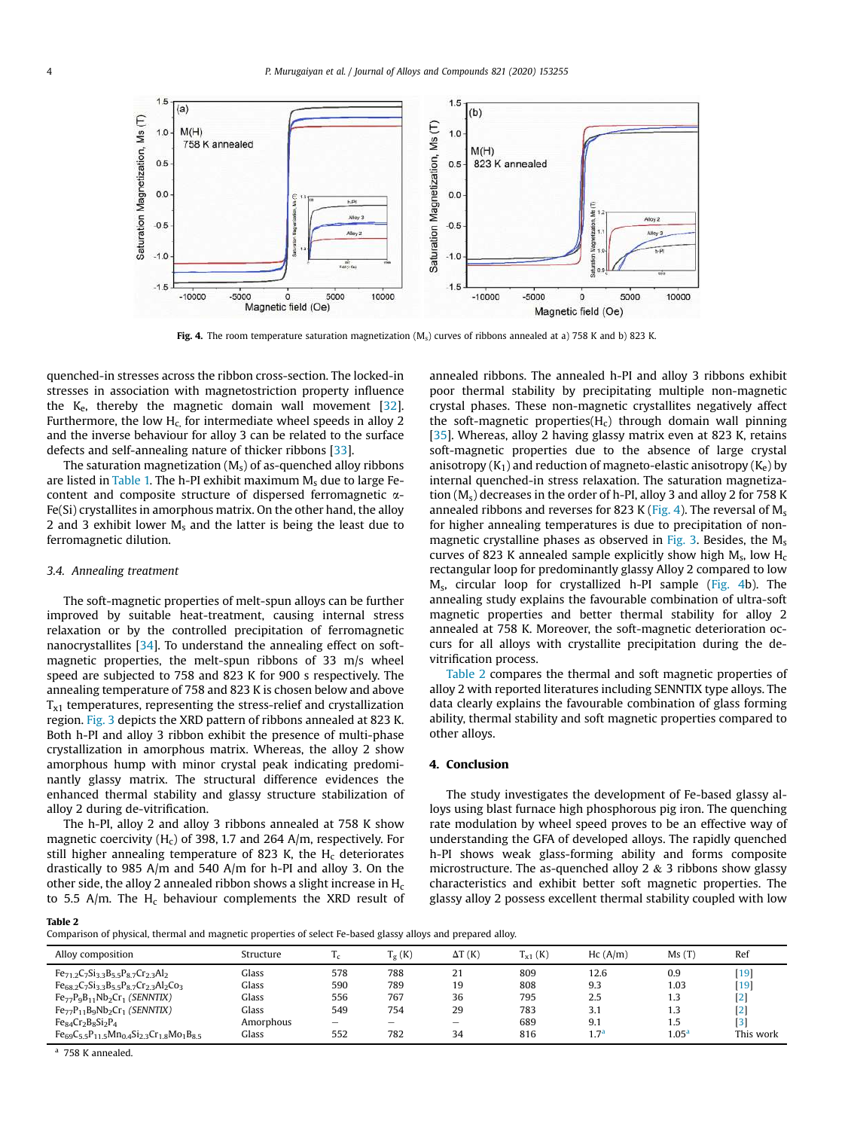

Fig. 4. The room temperature saturation magnetization  $(M_c)$  curves of ribbons annealed at a) 758 K and b) 823 K.

quenched-in stresses across the ribbon cross-section. The locked-in stresses in association with magnetostriction property influence the  $K_e$ , thereby the magnetic domain wall movement  $[32]$ . Furthermore, the low  $H_c$  for intermediate wheel speeds in alloy 2 and the inverse behaviour for alloy 3 can be related to the surface defects and self-annealing nature of thicker ribbons [33].

The saturation magnetization  $(M_s)$  of as-quenched alloy ribbons are listed in Table 1. The h-PI exhibit maximum  $M_s$  due to large Fecontent and composite structure of dispersed ferromagnetic a-Fe(Si) crystallites in amorphous matrix. On the other hand, the alloy 2 and 3 exhibit lower  $M_s$  and the latter is being the least due to ferromagnetic dilution.

#### *3.4. Annealing treatment*

The soft-magnetic properties of melt-spun alloys can be further improved by suitable heat-treatment, causing internal stress relaxation or by the controlled precipitation of ferromagnetic nanocrystallites [34]. To understand the annealing effect on softmagnetic properties, the melt-spun ribbons of 33 m/s wheel speed are subjected to 758 and 823 K for 900 s respectively. The annealing temperature of 758 and 823 K is chosen below and above  $T<sub>x1</sub>$  temperatures, representing the stress-relief and crystallization region. Fig. 3 depicts the XRD pattern of ribbons annealed at 823 K. Both h-PI and alloy 3 ribbon exhibit the presence of multi-phase crystallization in amorphous matrix. Whereas, the alloy 2 show amorphous hump with minor crystal peak indicating predominantly glassy matrix. The structural difference evidences the enhanced thermal stability and glassy structure stabilization of alloy 2 during de-vitrification.

The h-PI, alloy 2 and alloy 3 ribbons annealed at 758 K show magnetic coercivity  $(H<sub>c</sub>)$  of 398, 1.7 and 264 A/m, respectively. For still higher annealing temperature of 823 K, the  $H_c$  deteriorates drastically to 985 A/m and 540 A/m for h-PI and alloy 3. On the other side, the alloy 2 annealed ribbon shows a slight increase in  $H_c$ to 5.5 A/m. The  $H_c$  behaviour complements the XRD result of annealed ribbons. The annealed h-PI and alloy 3 ribbons exhibit poor thermal stability by precipitating multiple non-magnetic crystal phases. These non-magnetic crystallites negatively affect the soft-magnetic properties( $H_c$ ) through domain wall pinning [35]. Whereas, alloy 2 having glassy matrix even at 823 K, retains soft-magnetic properties due to the absence of large crystal anisotropy  $(K_1)$  and reduction of magneto-elastic anisotropy  $(K_e)$  by internal quenched-in stress relaxation. The saturation magnetization  $(M_s)$  decreases in the order of h-PI, alloy 3 and alloy 2 for 758 K annealed ribbons and reverses for 823 K (Fig. 4). The reversal of  $M_s$ for higher annealing temperatures is due to precipitation of nonmagnetic crystalline phases as observed in Fig. 3. Besides, the  $M_s$ curves of 823 K annealed sample explicitly show high  $M_s$ , low  $H_c$ rectangular loop for predominantly glassy Alloy 2 compared to low Ms, circular loop for crystallized h-PI sample (Fig. 4b). The annealing study explains the favourable combination of ultra-soft magnetic properties and better thermal stability for alloy 2 annealed at 758 K. Moreover, the soft-magnetic deterioration occurs for all alloys with crystallite precipitation during the devitrification process.

Table 2 compares the thermal and soft magnetic properties of alloy 2 with reported literatures including SENNTIX type alloys. The data clearly explains the favourable combination of glass forming ability, thermal stability and soft magnetic properties compared to other alloys.

## 4. Conclusion

The study investigates the development of Fe-based glassy alloys using blast furnace high phosphorous pig iron. The quenching rate modulation by wheel speed proves to be an effective way of understanding the GFA of developed alloys. The rapidly quenched h-PI shows weak glass-forming ability and forms composite microstructure. The as-quenched alloy 2  $\&$  3 ribbons show glassy characteristics and exhibit better soft magnetic properties. The glassy alloy 2 possess excellent thermal stability coupled with low

#### Table 2

Comparison of physical, thermal and magnetic properties of select Fe-based glassy alloys and prepared alloy.

| Alloy composition                                                                                        | Structure          | $_{1}$     | $\rm T_g\left(K\right)$  | $\Delta T(K)$            | $T_{x1}$ (K) | Hc(A/m)          | Ms(T)             | Ref              |
|----------------------------------------------------------------------------------------------------------|--------------------|------------|--------------------------|--------------------------|--------------|------------------|-------------------|------------------|
| $Fe_{71.2}C_7Si_{3.3}B_{5.5}P_{8.7}Cr_{2.3}Al_2$<br>$Fe_{68,2}C_7Si_{3,3}B_{5,5}P_{8,7}Cr_{2,3}Al_2Co_3$ | Glass<br>Glass     | 578<br>590 | 788<br>789               | 21<br>19                 | 809<br>808   | 12.6<br>9.3      | 0.9<br>1.03       | $[19]$<br>$[19]$ |
| $Fe_{77}P_9B_{11}Nb_2Cr_1(SENNTIX)$                                                                      | Glass              | 556<br>549 | 767<br>754               | 36<br>29                 | 795<br>783   | 2.5              | 1.3               | $[2]$            |
| $Fe_{77}P_{11}B_9Nb_2Cr_1(SENNTIX)$<br>$Fe84Cr2B8Si2P4$                                                  | Glass<br>Amorphous | -          | $\overline{\phantom{a}}$ | $\overline{\phantom{a}}$ | 689          | 3.1<br>9.1       | 1.3<br>1.5        | [2]<br>$[3]$     |
| $Fe_{69}C_{5.5}P_{11.5}Mn_{0.4}Si_{2.3}Cr_{1.8}Mo_{1}Bs_{3.5}$                                           | Glass              | 552        | 782                      | 34                       | 816          | 1.7 <sup>a</sup> | 1.05 <sup>a</sup> | This work        |

<sup>a</sup> 758 K annealed.